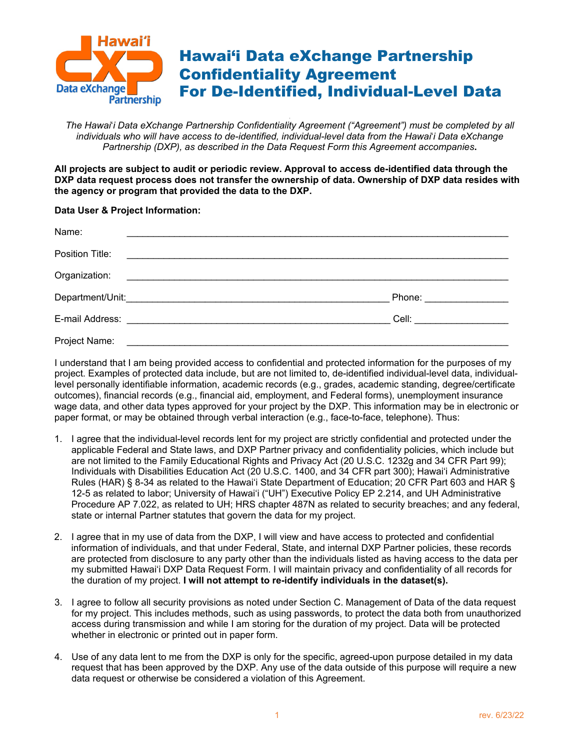

*l The Hawai*'*i Data eXchange Partnership Confidentiality Agreement ("Agreement") must be completed by all individuals who will have access to de-identified, individual-level data from the Hawai*'*i Data eXchange Partnership (DXP), as described in the Data Request Form this Agreement accompanies***.** 

**All projects are subject to audit or periodic review. Approval to access de-identified data through the DXP data request process does not transfer the ownership of data. Ownership of DXP data resides with the agency or program that provided the data to the DXP.**

## **Data User & Project Information:**

| Name:           |                                                                                                                                              |
|-----------------|----------------------------------------------------------------------------------------------------------------------------------------------|
| Position Title: |                                                                                                                                              |
| Organization:   |                                                                                                                                              |
|                 | Phone: ________________                                                                                                                      |
|                 | E-mail Address: 2008. 2009. 2009. 2009. 2010. 2010. 2010. 2010. 2010. 2010. 2010. 2010. 2010. 2010. 2010. 2010<br>Cell: ____________________ |
| Project Name:   |                                                                                                                                              |

I understand that I am being provided access to confidential and protected information for the purposes of my project. Examples of protected data include, but are not limited to, de-identified individual-level data, individuallevel personally identifiable information, academic records (e.g., grades, academic standing, degree/certificate outcomes), financial records (e.g., financial aid, employment, and Federal forms), unemployment insurance wage data, and other data types approved for your project by the DXP. This information may be in electronic or paper format, or may be obtained through verbal interaction (e.g., face-to-face, telephone). Thus:

- 1. I agree that the individual-level records lent for my project are strictly confidential and protected under the applicable Federal and State laws, and DXP Partner privacy and confidentiality policies, which include but are not limited to the Family Educational Rights and Privacy Act (20 U.S.C. 1232g and 34 CFR Part 99); Individuals with Disabilities Education Act (20 U.S.C. 1400, and 34 CFR part 300); Hawai'i Administrative Rules (HAR) § 8-34 as related to the Hawai'i State Department of Education; 20 CFR Part 603 and HAR § 12-5 as related to labor; University of Hawai'i ("UH") Executive Policy EP 2.214, and UH Administrative Procedure AP 7.022, as related to UH; HRS chapter 487N as related to security breaches; and any federal, state or internal Partner statutes that govern the data for my project.
- 2. I agree that in my use of data from the DXP, I will view and have access to protected and confidential information of individuals, and that under Federal, State, and internal DXP Partner policies, these records are protected from disclosure to any party other than the individuals listed as having access to the data per my submitted Hawai'i DXP Data Request Form. I will maintain privacy and confidentiality of all records for the duration of my project. **I will not attempt to re-identify individuals in the dataset(s).**
- 3. I agree to follow all security provisions as noted under Section C. Management of Data of the data request for my project. This includes methods, such as using passwords, to protect the data both from unauthorized access during transmission and while I am storing for the duration of my project. Data will be protected whether in electronic or printed out in paper form.
- 4. Use of any data lent to me from the DXP is only for the specific, agreed-upon purpose detailed in my data request that has been approved by the DXP. Any use of the data outside of this purpose will require a new data request or otherwise be considered a violation of this Agreement.